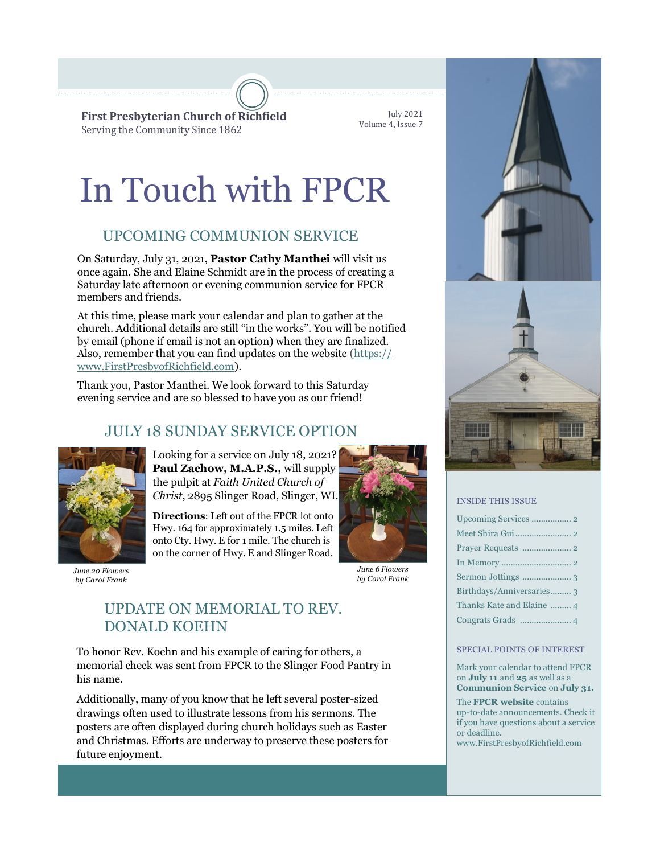**First Presbyterian Church of Richfield** Serving the Community Since 1862

July 2021 Volume 4, Issue 7

# In Touch with FPCR

## UPCOMING COMMUNION SERVICE

On Saturday, July 31, 2021, **Pastor Cathy Manthei** will visit us once again. She and Elaine Schmidt are in the process of creating a Saturday late afternoon or evening communion service for FPCR members and friends.

At this time, please mark your calendar and plan to gather at the church. Additional details are still "in the works". You will be notified by email (phone if email is not an option) when they are finalized. Also, remember that you can find updates on the website [\(https://](https://www.FirstPresbyofRichfield.com) [www.FirstPresbyofRichfield.com\).](https://www.FirstPresbyofRichfield.com)

[Thank you, Pastor Manthei. We look forward to this Saturday](https://www.FirstPresbyofRichfield.com)  [evening service and are so blessed to have you a](https://www.FirstPresbyofRichfield.com)s our friend!

## JULY 18 SUNDAY SERVICE OPTION



*by Carol Frank*

Looking for a service on July 18, 2021? **Paul Zachow, M.A.P.S.,** will supply the pulpit at *Faith United Church of Christ*, 2895 Slinger Road, Slinger, WI.

**Directions**: Left out of the FPCR lot onto Hwy. 164 for approximately 1.5 miles. Left onto Cty. Hwy. E for 1 mile. The church is on the corner of Hwy. E and Slinger Road.



*June 6 Flowers by Carol Frank*

### UPDATE ON MEMORIAL TO REV. DONALD KOEHN

To honor Rev. Koehn and his example of caring for others, a memorial check was sent from FPCR to the Slinger Food Pantry in his name.

Additionally, many of you know that he left several poster-sized drawings often used to illustrate lessons from his sermons. The posters are often displayed during church holidays such as Easter and Christmas. Efforts are underway to preserve these posters for future enjoyment.





#### INSIDE THIS ISSUE

| Birthdays/Anniversaries 3 |
|---------------------------|
| Thanks Kate and Elaine  4 |
|                           |

#### SPECIAL POINTS OF INTEREST

Mark your calendar to attend FPCR on **July 11** and **25** as well as a **Communion Service** on **July 31.**

The **FPCR website** contains up-to-date announcements. Check it if you have questions about a service or deadline.

www.FirstPresbyofRichfield.com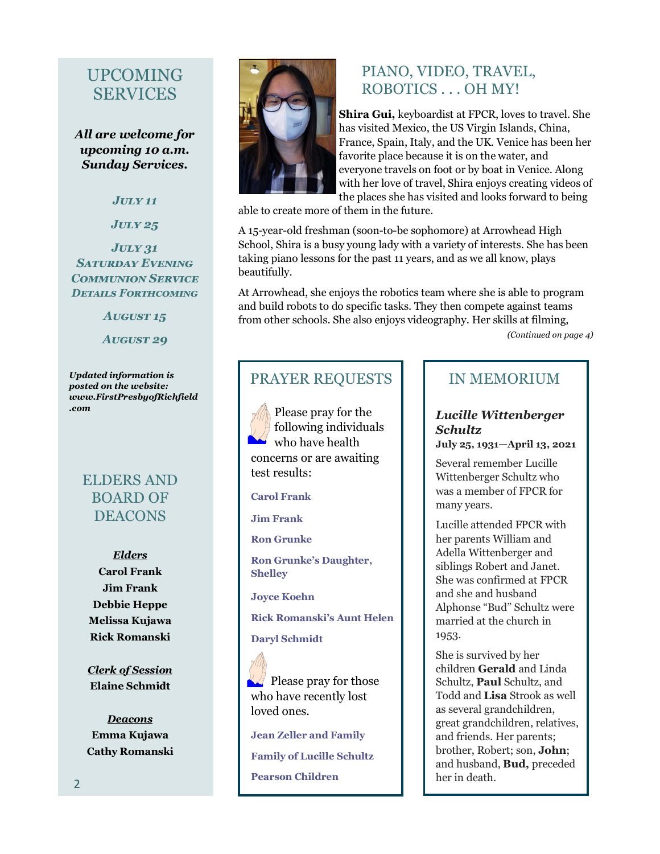## UPCOMING SERVICES

*All are welcome for upcoming 10 a.m. Sunday Services.*

*July 11*

*July 25*

#### *July 31 Saturday Evening Communion Service Details Forthcoming*

*August 15 August 29*

*Updated information is posted on the website: www.FirstPresbyofRichfield .com*

#### ELDERS AND BOARD OF **DEACONS**

*Elders* **Carol Frank Jim Frank Debbie Heppe Melissa Kujawa Rick Romanski**

*Clerk of Session* **Elaine Schmidt**

*Deacons* **Emma Kujawa Cathy Romanski**



#### PIANO, VIDEO, TRAVEL, ROBOTICS . . . OH MY!

**Shira Gui,** keyboardist at FPCR, loves to travel. She has visited Mexico, the US Virgin Islands, China, France, Spain, Italy, and the UK. Venice has been her favorite place because it is on the water, and everyone travels on foot or by boat in Venice. Along with her love of travel, Shira enjoys creating videos of the places she has visited and looks forward to being

able to create more of them in the future.

A 15-year-old freshman (soon-to-be sophomore) at Arrowhead High School, Shira is a busy young lady with a variety of interests. She has been taking piano lessons for the past 11 years, and as we all know, plays beautifully.

At Arrowhead, she enjoys the robotics team where she is able to program and build robots to do specific tasks. They then compete against teams from other schools. She also enjoys videography. Her skills at filming,

*(Continued on page 4)*

## PRAYER REQUESTS

Please pray for the following individuals  $\blacktriangleright$  who have health concerns or are awaiting test results:

#### **Carol Frank**

**Jim Frank**

**Ron Grunke**

**Ron Grunke's Daughter, Shelley**

**Joyce Koehn**

**Rick Romanski's Aunt Helen**

#### **Daryl Schmidt**

 $\mathbb{R}$  Please pray for those who have recently lost loved ones.

**Jean Zeller and Family Family of Lucille Schultz Pearson Children**

#### IN MEMORIUM

#### *Lucille Wittenberger Schultz*

**July 25, 1931—April 13, 2021**

Several remember Lucille Wittenberger Schultz who was a member of FPCR for many years.

Lucille attended FPCR with her parents William and Adella Wittenberger and siblings Robert and Janet. She was confirmed at FPCR and she and husband Alphonse "Bud" Schultz were married at the church in 1953.

She is survived by her children **Gerald** and Linda Schultz, **Paul** Schultz, and Todd and **Lisa** Strook as well as several grandchildren, great grandchildren, relatives, and friends. Her parents; brother, Robert; son, **John**; and husband, **Bud,** preceded her in death.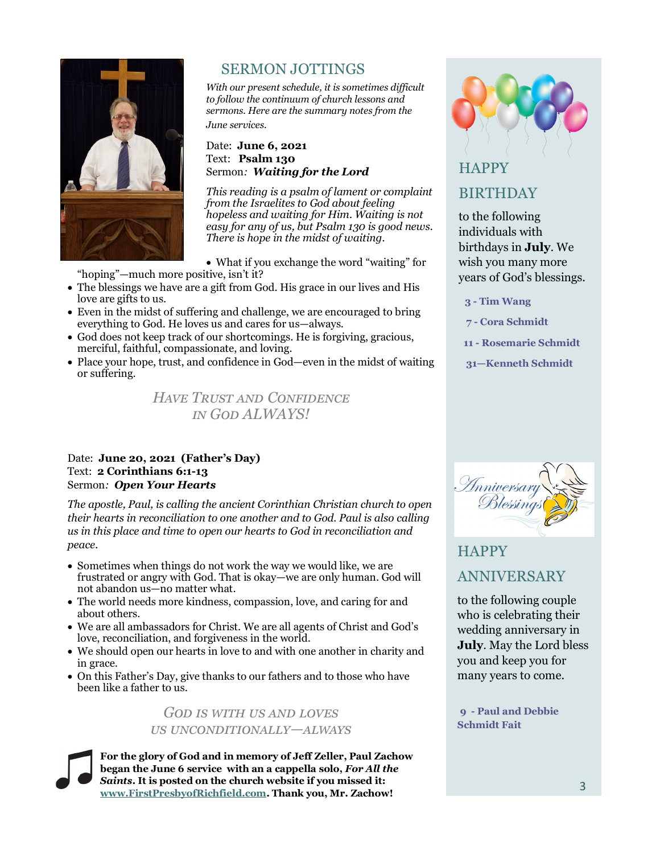

#### SERMON JOTTINGS

*With our present schedule, it is sometimes difficult to follow the continuum of church lessons and sermons. Here are the summary notes from the June services.* 

#### Date: **June 6, 2021**  Text: **Psalm 130** Sermon*: Waiting for the Lord*

*This reading is a psalm of lament or complaint from the Israelites to God about feeling hopeless and waiting for Him. Waiting is not easy for any of us, but Psalm 130 is good news. There is hope in the midst of waiting.*

• What if you exchange the word "waiting" for "hoping"—much more positive, isn't it?

- The blessings we have are a gift from God. His grace in our lives and His love are gifts to us.
- Even in the midst of suffering and challenge, we are encouraged to bring everything to God. He loves us and cares for us—always.
- God does not keep track of our shortcomings. He is forgiving, gracious, merciful, faithful, compassionate, and loving.
- Place your hope, trust, and confidence in God—even in the midst of waiting or suffering.

*Have Trust and Confidence in God ALWAYS!*

#### Date: **June 20, 2021 (Father's Day)** Text: **2 Corinthians 6:1-13** Sermon*: Open Your Hearts*

*The apostle, Paul, is calling the ancient Corinthian Christian church to open their hearts in reconciliation to one another and to God. Paul is also calling us in this place and time to open our hearts to God in reconciliation and peace.*

- Sometimes when things do not work the way we would like, we are frustrated or angry with God. That is okay—we are only human. God will not abandon us—no matter what.
- The world needs more kindness, compassion, love, and caring for and about others.
- We are all ambassadors for Christ. We are all agents of Christ and God's love, reconciliation, and forgiveness in the world.
- We should open our hearts in love to and with one another in charity and in grace.
- On this Father's Day, give thanks to our fathers and to those who have been like a father to us.

#### *God is with us and loves us unconditionally—always*

**For the glory of God and in memory of Jeff Zeller, Paul Zachow began the June 6 service with an a cappella solo,** *For All the Saints.* **It is posted on the church website if you missed it: [www.FirstPresbyofRichfield.com.](https://www.FirstPresbyofRichfield.com) Thank you, Mr. Zachow!**



## **HAPPY**

#### BIRTHDAY

to the following individuals with birthdays in **July**. We wish you many more years of God's blessings.

 **3 - Tim Wang**

 **7 - Cora Schmidt**

- **11 - Rosemarie Schmidt**
- **31—Kenneth Schmidt**



## **HAPPY** ANNIVERSARY

to the following couple who is celebrating their wedding anniversary in **July**. May the Lord bless you and keep you for many years to come.

**9 - Paul and Debbie Schmidt Fait**